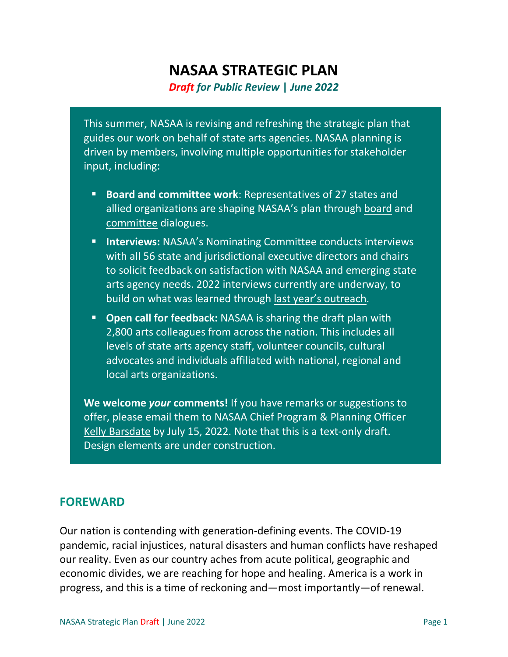# **NASAA STRATEGIC PLAN** *Draft for Public Review* **|** *June 2022*

This summer, NASAA is revising and refreshing the [strategic plan](https://nasaa-arts.org/my_nasaa_resources/strategic-planning/) that guides our work on behalf of state arts agencies. NASAA planning is driven by members, involving multiple opportunities for stakeholder input, including:

- **Board and committee work**: Representatives of 27 states and allied organizations are shaping NASAA's plan through [board](https://nasaa-arts.org/about-nasaa/board-of-directors/) and [committee](https://nasaa-arts.org/my_nasaa_resources/nasaa-committees-task-forces-advisory-groups/) dialogues.
- **Interviews: NASAA's Nominating Committee conducts interviews** with all 56 state and jurisdictional executive directors and chairs to solicit feedback on satisfaction with NASAA and emerging state arts agency needs. 2022 interviews currently are underway, to build on what was learned through [last year's outreach.](https://nasaa-arts.org/my_nasaa_resources/nominating-committee-interview-findings/)
- **Open call for feedback:** NASAA is sharing the draft plan with 2,800 arts colleagues from across the nation. This includes all levels of state arts agency staff, volunteer councils, cultural advocates and individuals affiliated with national, regional and local arts organizations.

**We welcome** *your* **comments!** If you have remarks or suggestions to offer, please email them to NASAA Chief Program & Planning Officer [Kelly Barsdate](mailto:kelly.barsdate@nasaa-arts.org?subject=Strategic%20Planning%20Feedback) by July 15, 2022. Note that this is a text-only draft. Design elements are under construction.

### **FOREWARD**

Our nation is contending with generation-defining events. The COVID-19 pandemic, racial injustices, natural disasters and human conflicts have reshaped our reality. Even as our country aches from acute political, geographic and economic divides, we are reaching for hope and healing. America is a work in progress, and this is a time of reckoning and—most importantly—of renewal.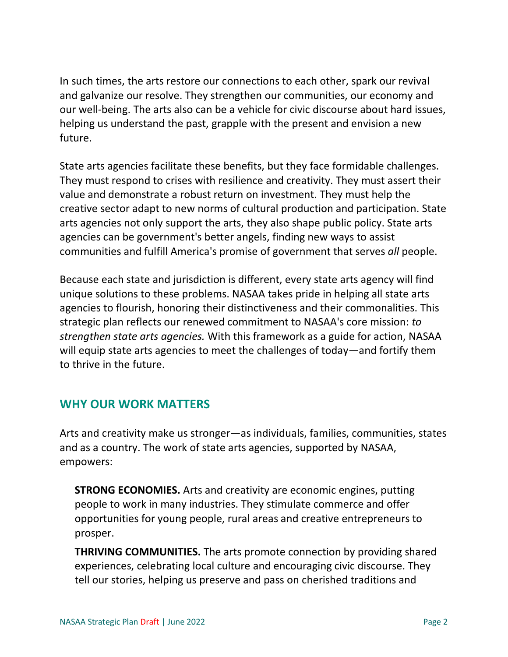In such times, the arts restore our connections to each other, spark our revival and galvanize our resolve. They strengthen our communities, our economy and our well-being. The arts also can be a vehicle for civic discourse about hard issues, helping us understand the past, grapple with the present and envision a new future.

State arts agencies facilitate these benefits, but they face formidable challenges. They must respond to crises with resilience and creativity. They must assert their value and demonstrate a robust return on investment. They must help the creative sector adapt to new norms of cultural production and participation. State arts agencies not only support the arts, they also shape public policy. State arts agencies can be government's better angels, finding new ways to assist communities and fulfill America's promise of government that serves *all* people.

Because each state and jurisdiction is different, every state arts agency will find unique solutions to these problems. NASAA takes pride in helping all state arts agencies to flourish, honoring their distinctiveness and their commonalities. This strategic plan reflects our renewed commitment to NASAA's core mission: *to strengthen state arts agencies.* With this framework as a guide for action, NASAA will equip state arts agencies to meet the challenges of today—and fortify them to thrive in the future.

# **WHY OUR WORK MATTERS**

Arts and creativity make us stronger—as individuals, families, communities, states and as a country. The work of state arts agencies, supported by NASAA, empowers:

**STRONG ECONOMIES.** Arts and creativity are economic engines, putting people to work in many industries. They stimulate commerce and offer opportunities for young people, rural areas and creative entrepreneurs to prosper.

**THRIVING COMMUNITIES.** The arts promote connection by providing shared experiences, celebrating local culture and encouraging civic discourse. They tell our stories, helping us preserve and pass on cherished traditions and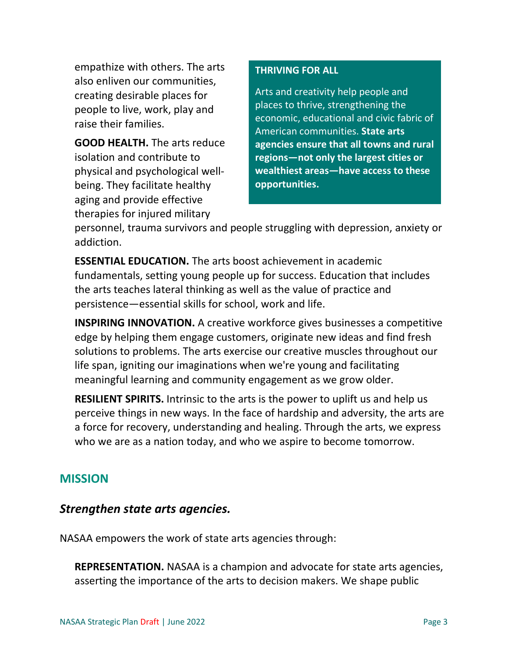empathize with others. The arts also enliven our communities, creating desirable places for people to live, work, play and raise their families.

**GOOD HEALTH.** The arts reduce isolation and contribute to physical and psychological wellbeing. They facilitate healthy aging and provide effective therapies for injured military

### **THRIVING FOR ALL**

Arts and creativity help people and places to thrive, strengthening the economic, educational and civic fabric of American communities. **State arts agencies ensure that all towns and rural regions—not only the largest cities or wealthiest areas—have access to these opportunities.**

personnel, trauma survivors and people struggling with depression, anxiety or addiction.

**ESSENTIAL EDUCATION.** The arts boost achievement in academic fundamentals, setting young people up for success. Education that includes the arts teaches lateral thinking as well as the value of practice and persistence—essential skills for school, work and life.

**INSPIRING INNOVATION.** A creative workforce gives businesses a competitive edge by helping them engage customers, originate new ideas and find fresh solutions to problems. The arts exercise our creative muscles throughout our life span, igniting our imaginations when we're young and facilitating meaningful learning and community engagement as we grow older.

**RESILIENT SPIRITS.** Intrinsic to the arts is the power to uplift us and help us perceive things in new ways. In the face of hardship and adversity, the arts are a force for recovery, understanding and healing. Through the arts, we express who we are as a nation today, and who we aspire to become tomorrow.

# **MISSION**

### *Strengthen state arts agencies.*

NASAA empowers the work of state arts agencies through:

**REPRESENTATION.** NASAA is a champion and advocate for state arts agencies, asserting the importance of the arts to decision makers. We shape public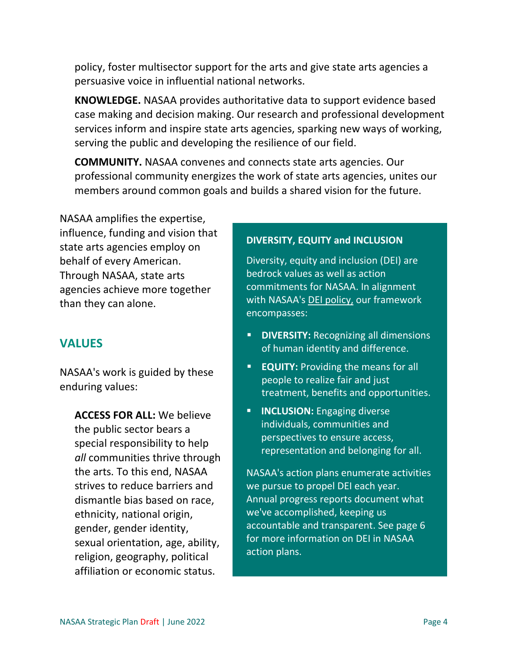policy, foster multisector support for the arts and give state arts agencies a persuasive voice in influential national networks.

**KNOWLEDGE.** NASAA provides authoritative data to support evidence based case making and decision making. Our research and professional development services inform and inspire state arts agencies, sparking new ways of working, serving the public and developing the resilience of our field.

**COMMUNITY.** NASAA convenes and connects state arts agencies. Our professional community energizes the work of state arts agencies, unites our members around common goals and builds a shared vision for the future.

NASAA amplifies the expertise, influence, funding and vision that state arts agencies employ on behalf of every American. Through NASAA, state arts agencies achieve more together than they can alone.

### **VALUES**

NASAA's work is guided by these enduring values:

**ACCESS FOR ALL:** We believe the public sector bears a special responsibility to help *all* communities thrive through the arts. To this end, NASAA strives to reduce barriers and dismantle bias based on race, ethnicity, national origin, gender, gender identity, sexual orientation, age, ability, religion, geography, political affiliation or economic status.

#### **DIVERSITY, EQUITY and INCLUSION**

Diversity, equity and inclusion (DEI) are bedrock values as well as action commitments for NASAA. In alignment with NASAA's [DEI policy,](https://nasaa-arts.org/my_nasaa_resources/nasaa-statement-diversity-equity-inclusion/) our framework encompasses:

- **DIVERSITY:** Recognizing all dimensions of human identity and difference.
- **EQUITY:** Providing the means for all people to realize fair and just treatment, benefits and opportunities.
- **INCLUSION:** Engaging diverse individuals, communities and perspectives to ensure access, representation and belonging for all.

NASAA's action plans enumerate activities we pursue to propel DEI each year. Annual progress reports document what we've accomplished, keeping us accountable and transparent. See page 6 for more information on DEI in NASAA action plans.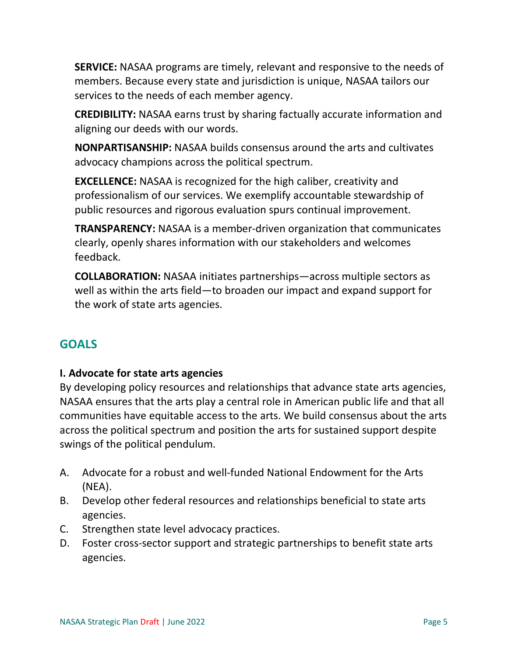**SERVICE:** NASAA programs are timely, relevant and responsive to the needs of members. Because every state and jurisdiction is unique, NASAA tailors our services to the needs of each member agency.

**CREDIBILITY:** NASAA earns trust by sharing factually accurate information and aligning our deeds with our words.

**NONPARTISANSHIP:** NASAA builds consensus around the arts and cultivates advocacy champions across the political spectrum.

**EXCELLENCE:** NASAA is recognized for the high caliber, creativity and professionalism of our services. We exemplify accountable stewardship of public resources and rigorous evaluation spurs continual improvement.

**TRANSPARENCY:** NASAA is a member-driven organization that communicates clearly, openly shares information with our stakeholders and welcomes feedback.

**COLLABORATION:** NASAA initiates partnerships—across multiple sectors as well as within the arts field—to broaden our impact and expand support for the work of state arts agencies.

# **GOALS**

### **I. Advocate for state arts agencies**

By developing policy resources and relationships that advance state arts agencies, NASAA ensures that the arts play a central role in American public life and that all communities have equitable access to the arts. We build consensus about the arts across the political spectrum and position the arts for sustained support despite swings of the political pendulum.

- A. Advocate for a robust and well-funded National Endowment for the Arts (NEA).
- B. Develop other federal resources and relationships beneficial to state arts agencies.
- C. Strengthen state level advocacy practices.
- D. Foster cross-sector support and strategic partnerships to benefit state arts agencies.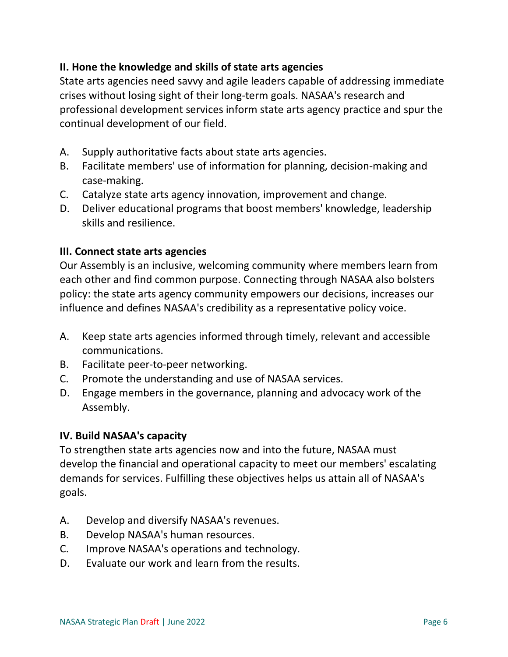### **II. Hone the knowledge and skills of state arts agencies**

State arts agencies need savvy and agile leaders capable of addressing immediate crises without losing sight of their long-term goals. NASAA's research and professional development services inform state arts agency practice and spur the continual development of our field.

- A. Supply authoritative facts about state arts agencies.
- B. Facilitate members' use of information for planning, decision-making and case-making.
- C. Catalyze state arts agency innovation, improvement and change.
- D. Deliver educational programs that boost members' knowledge, leadership skills and resilience.

### **III. Connect state arts agencies**

Our Assembly is an inclusive, welcoming community where members learn from each other and find common purpose. Connecting through NASAA also bolsters policy: the state arts agency community empowers our decisions, increases our influence and defines NASAA's credibility as a representative policy voice.

- A. Keep state arts agencies informed through timely, relevant and accessible communications.
- B. Facilitate peer-to-peer networking.
- C. Promote the understanding and use of NASAA services.
- D. Engage members in the governance, planning and advocacy work of the Assembly.

### **IV. Build NASAA's capacity**

To strengthen state arts agencies now and into the future, NASAA must develop the financial and operational capacity to meet our members' escalating demands for services. Fulfilling these objectives helps us attain all of NASAA's goals.

- A. Develop and diversify NASAA's revenues.
- B. Develop NASAA's human resources.
- C. Improve NASAA's operations and technology.
- D. Evaluate our work and learn from the results.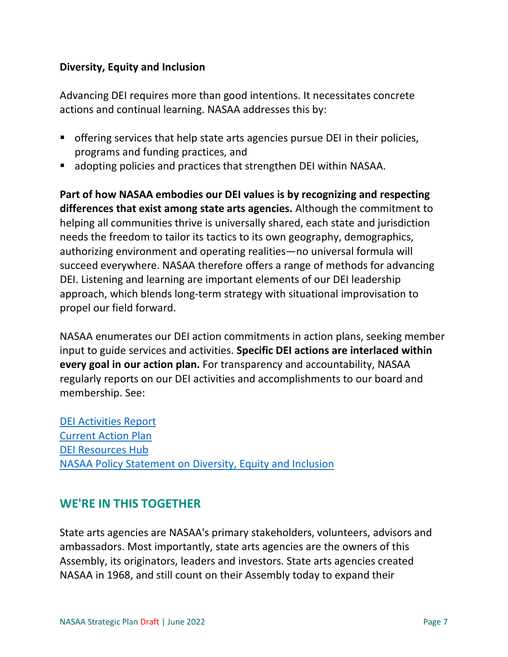#### **Diversity, Equity and Inclusion**

Advancing DEI requires more than good intentions. It necessitates concrete actions and continual learning. NASAA addresses this by:

- offering services that help state arts agencies pursue DEI in their policies, programs and funding practices, and
- adopting policies and practices that strengthen DEI within NASAA.

**Part of how NASAA embodies our DEI values is by recognizing and respecting differences that exist among state arts agencies.** Although the commitment to helping all communities thrive is universally shared, each state and jurisdiction needs the freedom to tailor its tactics to its own geography, demographics, authorizing environment and operating realities—no universal formula will succeed everywhere. NASAA therefore offers a range of methods for advancing DEI. Listening and learning are important elements of our DEI leadership approach, which blends long-term strategy with situational improvisation to propel our field forward.

NASAA enumerates our DEI action commitments in action plans, seeking member input to guide services and activities. **Specific DEI actions are interlaced within every goal in our action plan.** For transparency and accountability, NASAA regularly reports on our DEI activities and accomplishments to our board and membership. See:

[DEI Activities](https://nasaa-arts.org/my_nasaa_resources/diversity-equity-inclusion-activities-nasaa/) [Report](https://nasaa-arts.org/my_nasaa_resources/diversity-equity-inclusion-activities-nasaa/) [Current Action Plan](https://nasaa-arts.org/my_nasaa_resources/nasaa-action-plan/) [DEI Resources Hub](https://nasaa-arts.org/nasaa_research/diversity-equity-and-inclusion/) [NASAA Policy Statement on Diversity, Equity and Inclusion](https://nasaa-arts.org/my_nasaa_resources/nasaa-statement-diversity-equity-inclusion/)

# **WE'RE IN THIS TOGETHER**

State arts agencies are NASAA's primary stakeholders, volunteers, advisors and ambassadors. Most importantly, state arts agencies are the owners of this Assembly, its originators, leaders and investors. State arts agencies created NASAA in 1968, and still count on their Assembly today to expand their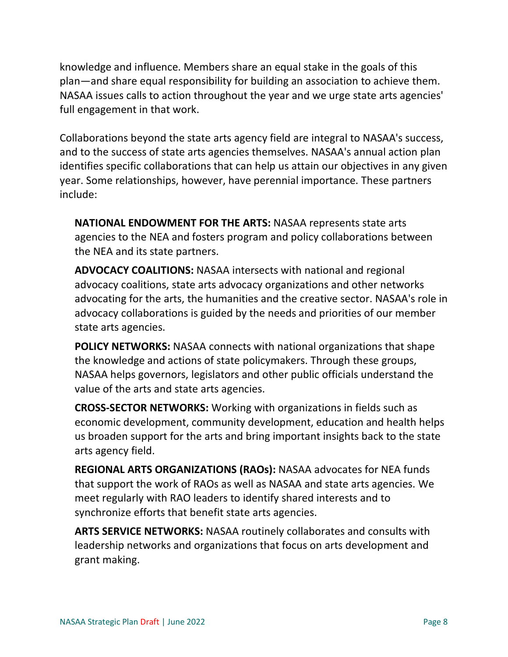knowledge and influence. Members share an equal stake in the goals of this plan—and share equal responsibility for building an association to achieve them. NASAA issues calls to action throughout the year and we urge state arts agencies' full engagement in that work.

Collaborations beyond the state arts agency field are integral to NASAA's success, and to the success of state arts agencies themselves. NASAA's annual action plan identifies specific collaborations that can help us attain our objectives in any given year. Some relationships, however, have perennial importance. These partners include:

**NATIONAL ENDOWMENT FOR THE ARTS:** NASAA represents state arts agencies to the NEA and fosters program and policy collaborations between the NEA and its state partners.

**ADVOCACY COALITIONS:** NASAA intersects with national and regional advocacy coalitions, state arts advocacy organizations and other networks advocating for the arts, the humanities and the creative sector. NASAA's role in advocacy collaborations is guided by the needs and priorities of our member state arts agencies.

**POLICY NETWORKS:** NASAA connects with national organizations that shape the knowledge and actions of state policymakers. Through these groups, NASAA helps governors, legislators and other public officials understand the value of the arts and state arts agencies.

**CROSS-SECTOR NETWORKS:** Working with organizations in fields such as economic development, community development, education and health helps us broaden support for the arts and bring important insights back to the state arts agency field.

**REGIONAL ARTS ORGANIZATIONS (RAOs):** NASAA advocates for NEA funds that support the work of RAOs as well as NASAA and state arts agencies. We meet regularly with RAO leaders to identify shared interests and to synchronize efforts that benefit state arts agencies.

**ARTS SERVICE NETWORKS:** NASAA routinely collaborates and consults with leadership networks and organizations that focus on arts development and grant making.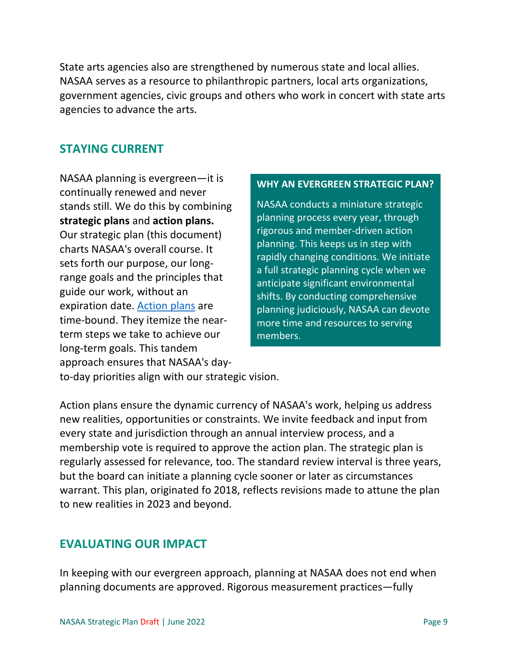State arts agencies also are strengthened by numerous state and local allies. NASAA serves as a resource to philanthropic partners, local arts organizations, government agencies, civic groups and others who work in concert with state arts agencies to advance the arts.

### **STAYING CURRENT**

NASAA planning is evergreen—it is continually renewed and never stands still. We do this by combining **strategic plans** and **action plans.** Our strategic plan (this document) charts NASAA's overall course. It sets forth our purpose, our longrange goals and the principles that guide our work, without an expiration date. [Action plans](https://nasaa-arts.org/my_nasaa_resources/nasaa-action-plan/) are time-bound. They itemize the nearterm steps we take to achieve our long-term goals. This tandem approach ensures that NASAA's day-

#### **WHY AN EVERGREEN STRATEGIC PLAN?**

NASAA conducts a miniature strategic planning process every year, through rigorous and member-driven action planning. This keeps us in step with rapidly changing conditions. We initiate a full strategic planning cycle when we anticipate significant environmental shifts. By conducting comprehensive planning judiciously, NASAA can devote more time and resources to serving members.

to-day priorities align with our strategic vision.

Action plans ensure the dynamic currency of NASAA's work, helping us address new realities, opportunities or constraints. We invite feedback and input from every state and jurisdiction through an annual interview process, and a membership vote is required to approve the action plan. The strategic plan is regularly assessed for relevance, too. The standard review interval is three years, but the board can initiate a planning cycle sooner or later as circumstances warrant. This plan, originated fo 2018, reflects revisions made to attune the plan to new realities in 2023 and beyond.

# **EVALUATING OUR IMPACT**

In keeping with our evergreen approach, planning at NASAA does not end when planning documents are approved. Rigorous measurement practices—fully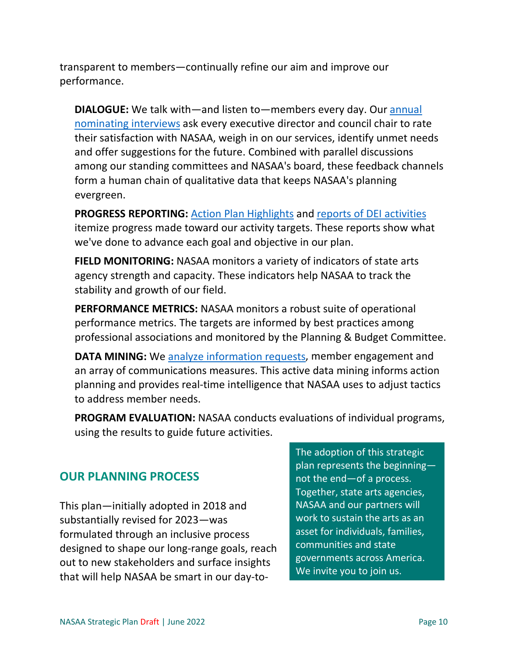transparent to members—continually refine our aim and improve our performance.

**DIALOGUE:** We talk with—and listen to—members every day. Our [annual](https://nasaa-arts.org/my_nasaa_resources/nominating-committee-interview-findings/)  [nominating interviews](https://nasaa-arts.org/my_nasaa_resources/nominating-committee-interview-findings/) ask every executive director and council chair to rate their satisfaction with NASAA, weigh in on our services, identify unmet needs and offer suggestions for the future. Combined with parallel discussions among our standing committees and NASAA's board, these feedback channels form a human chain of qualitative data that keeps NASAA's planning evergreen.

**PROGRESS REPORTING:** [Action Plan Highlights](https://nasaa-arts.org/my_nasaa_resources/nasaa-action-plan-highlights/) and [reports of DEI activities](https://nasaa-arts.org/my_nasaa_resources/diversity-equity-inclusion-activities-nasaa/) itemize progress made toward our activity targets. These reports show what we've done to advance each goal and objective in our plan.

**FIELD MONITORING:** NASAA monitors a variety of indicators of state arts agency strength and capacity. These indicators help NASAA to track the stability and growth of our field.

**PERFORMANCE METRICS:** NASAA monitors a robust suite of operational performance metrics. The targets are informed by best practices among professional associations and monitored by the Planning & Budget Committee.

**DATA MINING:** We [analyze](https://nasaa-arts.org/my_nasaa_resources/nasaa-information-services-summary/) [information requests,](https://nasaa-arts.org/my_nasaa_resources/nasaa-information-services-summary/) member engagement and an array of communications measures. This active data mining informs action planning and provides real-time intelligence that NASAA uses to adjust tactics to address member needs.

**PROGRAM EVALUATION:** NASAA conducts evaluations of individual programs, using the results to guide future activities.

# **OUR PLANNING PROCESS**

This plan—initially adopted in 2018 and substantially revised for 2023—was formulated through an inclusive process designed to shape our long-range goals, reach out to new stakeholders and surface insights that will help NASAA be smart in our day-to-

The adoption of this strategic plan represents the beginning not the end—of a process. Together, state arts agencies, NASAA and our partners will work to sustain the arts as an asset for individuals, families, communities and state governments across America. We invite you to join us.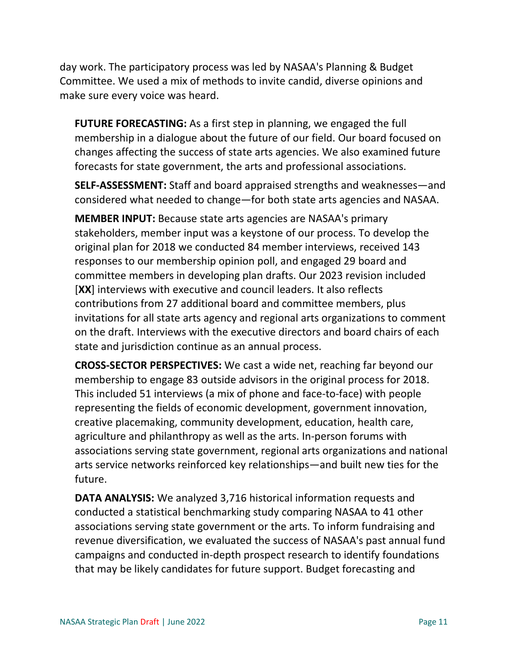day work. The participatory process was led by NASAA's Planning & Budget Committee. We used a mix of methods to invite candid, diverse opinions and make sure every voice was heard.

**FUTURE FORECASTING:** As a first step in planning, we engaged the full membership in a dialogue about the future of our field. Our board focused on changes affecting the success of state arts agencies. We also examined future forecasts for state government, the arts and professional associations.

**SELF-ASSESSMENT:** Staff and board appraised strengths and weaknesses—and considered what needed to change—for both state arts agencies and NASAA.

**MEMBER INPUT:** Because state arts agencies are NASAA's primary stakeholders, member input was a keystone of our process. To develop the original plan for 2018 we conducted 84 member interviews, received 143 responses to our membership opinion poll, and engaged 29 board and committee members in developing plan drafts. Our 2023 revision included [**XX**] interviews with executive and council leaders. It also reflects contributions from 27 additional board and committee members, plus invitations for all state arts agency and regional arts organizations to comment on the draft. Interviews with the executive directors and board chairs of each state and jurisdiction continue as an annual process.

**CROSS-SECTOR PERSPECTIVES:** We cast a wide net, reaching far beyond our membership to engage 83 outside advisors in the original process for 2018. This included 51 interviews (a mix of phone and face-to-face) with people representing the fields of economic development, government innovation, creative placemaking, community development, education, health care, agriculture and philanthropy as well as the arts. In-person forums with associations serving state government, regional arts organizations and national arts service networks reinforced key relationships—and built new ties for the future.

**DATA ANALYSIS:** We analyzed 3,716 historical information requests and conducted a statistical benchmarking study comparing NASAA to 41 other associations serving state government or the arts. To inform fundraising and revenue diversification, we evaluated the success of NASAA's past annual fund campaigns and conducted in-depth prospect research to identify foundations that may be likely candidates for future support. Budget forecasting and